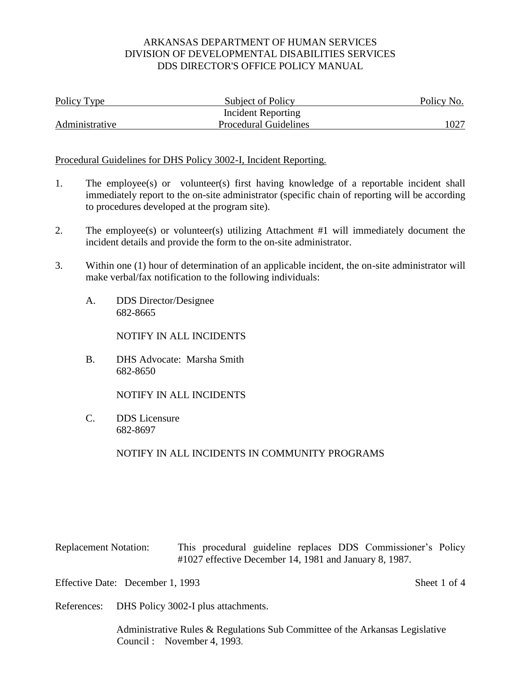| Policy Type    | Subject of Policy            | Policy No. |
|----------------|------------------------------|------------|
|                | Incident Reporting           |            |
| Administrative | <b>Procedural Guidelines</b> | 1027       |

#### Procedural Guidelines for DHS Policy 3002-I, Incident Reporting.

- 1. The employee(s) or volunteer(s) first having knowledge of a reportable incident shall immediately report to the on-site administrator (specific chain of reporting will be according to procedures developed at the program site).
- 2. The employee(s) or volunteer(s) utilizing Attachment #1 will immediately document the incident details and provide the form to the on-site administrator.
- 3. Within one (1) hour of determination of an applicable incident, the on-site administrator will make verbal/fax notification to the following individuals:
	- A. DDS Director/Designee 682-8665

NOTIFY IN ALL INCIDENTS

B. DHS Advocate: Marsha Smith 682-8650

NOTIFY IN ALL INCIDENTS

C. DDS Licensure 682-8697

NOTIFY IN ALL INCIDENTS IN COMMUNITY PROGRAMS

Replacement Notation: This procedural guideline replaces DDS Commissioner's Policy #1027 effective December 14, 1981 and January 8, 1987.

Effective Date: December 1, 1993 Sheet 1 of 4

References: DHS Policy 3002-I plus attachments.

Administrative Rules & Regulations Sub Committee of the Arkansas Legislative Council : November 4, 1993.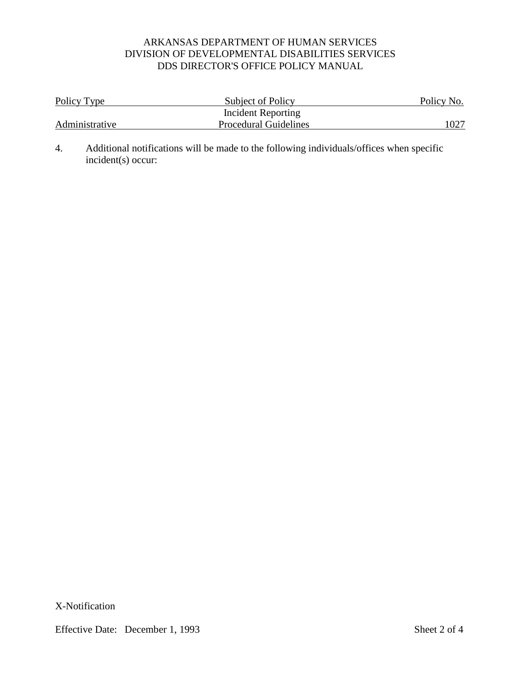| Policy Type    | Subject of Policy            | Policy No. |
|----------------|------------------------------|------------|
|                | Incident Reporting           |            |
| Administrative | <b>Procedural Guidelines</b> | 1027       |

4. Additional notifications will be made to the following individuals/offices when specific incident(s) occur:

X-Notification

Effective Date: December 1, 1993 Sheet 2 of 4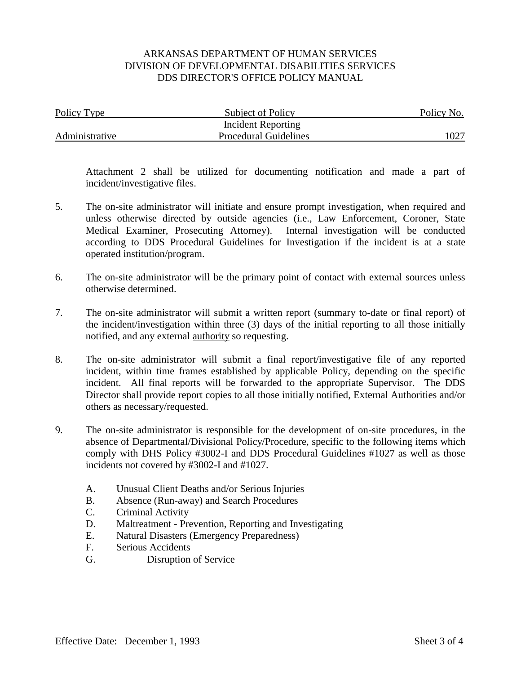| Policy Type    | <b>Subject of Policy</b>     | Policy No. |
|----------------|------------------------------|------------|
|                | Incident Reporting           |            |
| Administrative | <b>Procedural Guidelines</b> |            |

Attachment 2 shall be utilized for documenting notification and made a part of incident/investigative files.

- 5. The on-site administrator will initiate and ensure prompt investigation, when required and unless otherwise directed by outside agencies (i.e., Law Enforcement, Coroner, State Medical Examiner, Prosecuting Attorney). Internal investigation will be conducted according to DDS Procedural Guidelines for Investigation if the incident is at a state operated institution/program.
- 6. The on-site administrator will be the primary point of contact with external sources unless otherwise determined.
- 7. The on-site administrator will submit a written report (summary to-date or final report) of the incident/investigation within three (3) days of the initial reporting to all those initially notified, and any external authority so requesting.
- 8. The on-site administrator will submit a final report/investigative file of any reported incident, within time frames established by applicable Policy, depending on the specific incident. All final reports will be forwarded to the appropriate Supervisor. The DDS Director shall provide report copies to all those initially notified, External Authorities and/or others as necessary/requested.
- 9. The on-site administrator is responsible for the development of on-site procedures, in the absence of Departmental/Divisional Policy/Procedure, specific to the following items which comply with DHS Policy #3002-I and DDS Procedural Guidelines #1027 as well as those incidents not covered by #3002-I and #1027.
	- A. Unusual Client Deaths and/or Serious Injuries
	- B. Absence (Run-away) and Search Procedures
	- C. Criminal Activity
	- D. Maltreatment Prevention, Reporting and Investigating
	- E. Natural Disasters (Emergency Preparedness)
	- F. Serious Accidents
	- G. Disruption of Service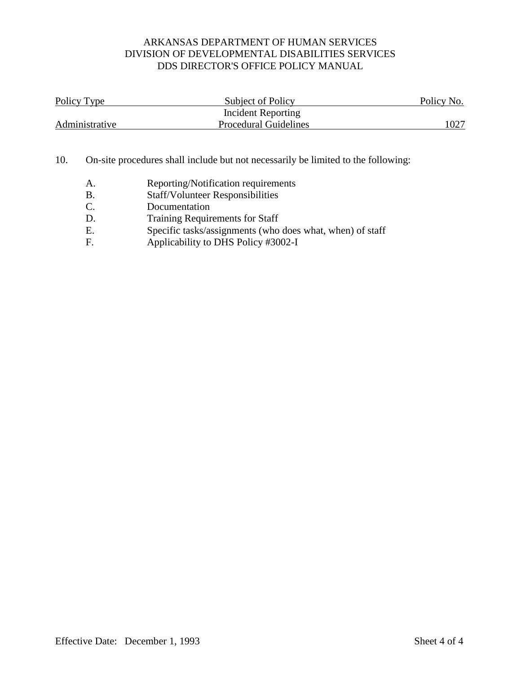| Policy Type    | Subject of Policy            | Policy No. |
|----------------|------------------------------|------------|
|                | Incident Reporting           |            |
| Administrative | <b>Procedural Guidelines</b> | 1027       |

#### 10. On-site procedures shall include but not necessarily be limited to the following:

- A. Reporting/Notification requirements
- B. Staff/Volunteer Responsibilities<br>C. Documentation
- Documentation
- D. Training Requirements for Staff
- E. Specific tasks/assignments (who does what, when) of staff
- F. Applicability to DHS Policy #3002-I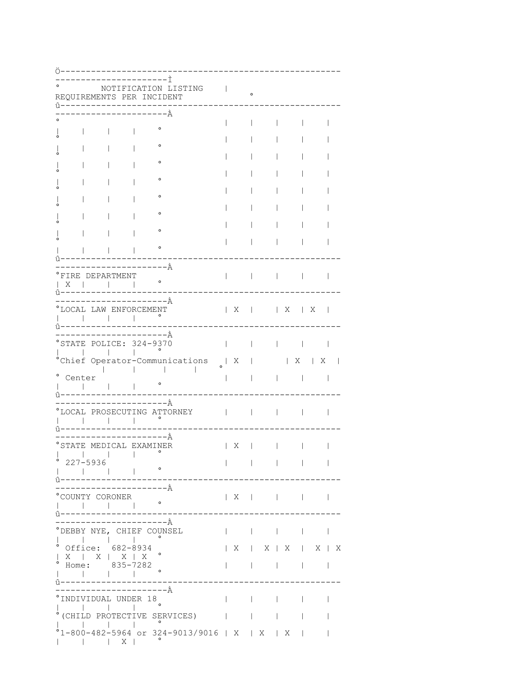|         |          |                  |                                                                 | NOTIFICATION LISTING<br>REQUIREMENTS PER INCIDENT |                                |                                                     | $\circ$          |                                                                            |                  |                                                            |        |
|---------|----------|------------------|-----------------------------------------------------------------|---------------------------------------------------|--------------------------------|-----------------------------------------------------|------------------|----------------------------------------------------------------------------|------------------|------------------------------------------------------------|--------|
|         |          |                  |                                                                 | —————— À                                          |                                |                                                     |                  |                                                                            |                  |                                                            |        |
|         |          |                  |                                                                 |                                                   |                                |                                                     |                  |                                                                            |                  |                                                            |        |
|         |          |                  |                                                                 | $\circ$                                           |                                |                                                     |                  |                                                                            |                  |                                                            |        |
|         |          |                  |                                                                 | $\circ$                                           |                                |                                                     |                  |                                                                            |                  |                                                            |        |
|         |          |                  |                                                                 |                                                   |                                |                                                     |                  |                                                                            |                  |                                                            |        |
|         |          |                  |                                                                 | ۰                                                 |                                |                                                     |                  |                                                                            |                  |                                                            |        |
|         |          |                  |                                                                 | $\circ$                                           |                                |                                                     |                  |                                                                            |                  |                                                            |        |
|         |          |                  |                                                                 |                                                   |                                |                                                     |                  |                                                                            |                  |                                                            |        |
|         |          |                  |                                                                 | $\circ$                                           |                                |                                                     |                  |                                                                            |                  |                                                            |        |
|         |          |                  |                                                                 | ۰                                                 |                                |                                                     |                  |                                                                            |                  |                                                            |        |
|         |          |                  |                                                                 |                                                   |                                |                                                     |                  |                                                                            |                  |                                                            |        |
|         |          |                  |                                                                 | $\circ$                                           |                                |                                                     |                  |                                                                            |                  |                                                            |        |
|         |          |                  |                                                                 |                                                   |                                |                                                     |                  |                                                                            |                  |                                                            |        |
|         |          |                  |                                                                 |                                                   |                                |                                                     |                  |                                                                            |                  |                                                            |        |
|         |          |                  |                                                                 | -------------------À                              |                                |                                                     |                  |                                                                            |                  |                                                            |        |
|         |          | °FIRE DEPARTMENT |                                                                 |                                                   |                                | <b>The Community of Community</b>                   |                  |                                                                            | $\Box$           |                                                            |        |
|         | $X \cup$ |                  |                                                                 | $\circ$                                           |                                |                                                     |                  |                                                                            |                  |                                                            |        |
|         | û------  |                  |                                                                 | – – – – – – À                                     |                                |                                                     |                  |                                                                            |                  |                                                            |        |
|         |          |                  | LOCAL LAW ENFORCEMENT                                           |                                                   |                                |                                                     |                  | $\begin{array}{c c c c c c c c} \mid & X & \mid & X \\ \hline \end{array}$ |                  |                                                            |        |
|         |          |                  |                                                                 |                                                   |                                |                                                     |                  |                                                                            |                  |                                                            |        |
|         |          |                  |                                                                 |                                                   |                                |                                                     |                  |                                                                            |                  |                                                            |        |
|         |          |                  |                                                                 |                                                   |                                |                                                     |                  |                                                                            |                  |                                                            |        |
|         |          |                  |                                                                 | ---------------------À                            |                                |                                                     |                  |                                                                            |                  |                                                            |        |
|         |          |                  | $\mathbf{1}$                                                    | STATE POLICE: 324-9370                            |                                |                                                     |                  |                                                                            | $\mathbf{1}$     |                                                            |        |
|         |          |                  |                                                                 |                                                   | °Chief Operator-Communications |                                                     |                  |                                                                            |                  | $\begin{array}{c c c c c} & X & & X \\ \hline \end{array}$ |        |
|         |          |                  |                                                                 |                                                   |                                | $\begin{array}{c cccc}\n & & X &   & \n\end{array}$ |                  |                                                                            |                  |                                                            |        |
| $\circ$ | Center   |                  |                                                                 | $\circ$                                           |                                |                                                     |                  |                                                                            |                  |                                                            |        |
|         |          |                  |                                                                 |                                                   |                                |                                                     |                  |                                                                            |                  |                                                            |        |
|         |          |                  |                                                                 | ––––––––À                                         |                                |                                                     |                  |                                                                            |                  |                                                            |        |
|         |          |                  |                                                                 | LOCAL PROSECUTING ATTORNEY                        |                                |                                                     |                  |                                                                            |                  |                                                            |        |
|         |          |                  |                                                                 |                                                   |                                |                                                     |                  |                                                                            |                  |                                                            |        |
|         |          |                  |                                                                 | -----------À                                      |                                |                                                     |                  |                                                                            |                  |                                                            |        |
| o       |          |                  |                                                                 | STATE MEDICAL EXAMINER                            |                                | Χ                                                   |                  |                                                                            |                  |                                                            |        |
|         |          |                  |                                                                 |                                                   |                                |                                                     |                  |                                                                            |                  |                                                            |        |
|         | 227-5936 |                  |                                                                 | $\circ$                                           |                                |                                                     |                  |                                                                            | and the contract |                                                            |        |
|         |          |                  |                                                                 |                                                   |                                |                                                     |                  |                                                                            |                  |                                                            |        |
|         |          |                  |                                                                 | -----------À                                      |                                |                                                     |                  |                                                                            |                  |                                                            |        |
|         |          | COUNTY CORONER   |                                                                 |                                                   |                                | X                                                   | and the contract |                                                                            |                  |                                                            |        |
|         | ------   |                  |                                                                 |                                                   |                                |                                                     |                  |                                                                            |                  |                                                            |        |
|         |          |                  |                                                                 | -------------À                                    |                                |                                                     |                  |                                                                            |                  |                                                            |        |
|         |          |                  |                                                                 | DEBBY NYE, CHIEF COUNSEL                          |                                | $\mathbf{I}$                                        |                  | $\mathcal{L}$                                                              | $\mathbf{L}$     |                                                            |        |
|         |          |                  | $\mathbf{1}$ and $\mathbf{1}$ and $\mathbf{1}$ and $\mathbf{1}$ |                                                   |                                |                                                     |                  |                                                                            |                  |                                                            |        |
|         |          |                  | $^{\circ}$ Office: 682-8934                                     |                                                   |                                |                                                     |                  | X   X   X   X   X                                                          |                  |                                                            |        |
|         |          |                  | $\begin{array}{c cccc}\nX &   & X &   & X &   & X\n\end{array}$ |                                                   |                                |                                                     |                  | and the contract of the contract of the                                    |                  |                                                            |        |
|         |          |                  | • Home: $835-7282$                                              |                                                   |                                |                                                     |                  |                                                                            |                  |                                                            |        |
|         |          |                  |                                                                 |                                                   |                                |                                                     |                  |                                                                            |                  |                                                            |        |
|         |          |                  |                                                                 | ----------------À                                 |                                |                                                     |                  |                                                                            |                  |                                                            |        |
|         |          |                  | INDIVIDUAL UNDER 18                                             |                                                   |                                |                                                     |                  |                                                                            |                  |                                                            | $\sim$ |
|         |          |                  |                                                                 |                                                   | (CHILD PROTECTIVE SERVICES)    |                                                     |                  |                                                                            | $\mathbf{1}$     |                                                            |        |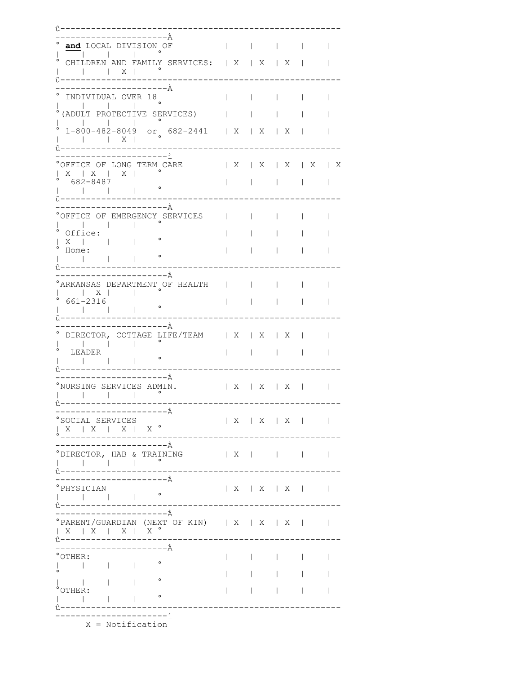$\hat{u}$  -  $-$ \_\_\_\_\_\_\_\_\_\_\_\_\_\_\_\_\_\_\_\_\_<u>\_</u> and LOCAL DIVISION OF | | |  $\sim$  1.000  $\sim$  $\sim$  1.0  $\mathbf{1}$   $\mathbf{1}$   $\mathbf{1}$   $\mathbf{1}$ CHILDREN AND FAMILY SERVICES: | X | X | X | \_\_\_\_\_\_\_\_\_\_\_\_\_\_\_ ------------------- $---$ ––––––––––––––––––––À  $\sim$  1.0  $\sim$  1.0  $\sim$  1.0  $\sim$ INDIVIDUAL OVER 18  $\mathbb{R}^n$  $\mathbb{R}$  $\mathbf{1}$   $\mathbf{1}$   $\mathbf{1}$   $\mathbf{1}$   $\mathbf{1}$ (ADULT PROTECTIVE SERVICES) | | |  $\sim$  1.000  $\sim$  $\sim$  1. 1-800-482-8049 or 682-2441 | X | X | X | |  $\begin{array}{cccccccccccccc} | & & | & & | & & \mathbf{X} & | & & \end{array}$ î-----------------------------------------------------------------------<u>ì</u>  $^{\circ}$  OFFICE OF LONG TERM CARE  $\qquad$  | X | X | X | X | X  $\begin{array}{c|cccc}\n & X & | & X & | & X & | \\
\end{array}$ 682-8487  $\mathbf{1}$   $\mathbf{1}$   $\mathbf{1}$   $\mathbf{1}$   $\mathbf{1}$  $-1 - 1$ ---------------------À °OFFICE OF EMERGENCY SERVICES  $\mathbb{R}$  and  $\mathbb{R}$  and  $\mathbb{R}$  and  $\mathbb{R}$  $\mathbb{R}^n$  $\mathbb{R}$  $^{\circ}$  Office:  $\begin{array}{c|c|c|c} \circ & \circ & \circ \\ \hline & X & & & \circ \\ \hline & & & \circ \end{array}$  $\sim 10^{-11}$  $\mathbb{R}^n$  and  $\mathbb{R}^n$  $\sim 1$  .  $\mathbb{R}$  $\begin{array}{ccccccc}\n & 1 & & & & \\
 & \circ & \text{Home:} & & & \\
 & & | & & | & & \end{array}$  $\sim 1$   $\sim$  $\mathbb{R}$ î -----------------------\_\_\_\_\_\_\_\_\_\_\_\_\_\_\_\_\_\_\_\_\_\_\_\_\_\_\_ ----------------------À ARKANSAS DEPARTMENT OF HEALTH | | |  $\mathbb{R}^n$  and  $\mathbb{R}^n$  $\begin{array}{cccccccccccccc} \multicolumn{4}{c|}{\textbf{1}} & \multicolumn{4}{c|}{\textbf{2}} & \multicolumn{4}{c|}{\textbf{3}} & \multicolumn{4}{c|}{\textbf{4}} & \multicolumn{4}{c|}{\textbf{5}} & \multicolumn{4}{c|}{\textbf{6}} & \multicolumn{4}{c|}{\textbf{7}} & \multicolumn{4}{c|}{\textbf{8}} & \multicolumn{4}{c|}{\textbf{9}} & \multicolumn{4}{c|}{\textbf{1}} & \multicolumn{4}{c|}{\textbf{1}} & \multicolumn{4}{c|}{\textbf{1}} & \multicolumn{4$  $\hat{v}$  – – – – – – – --------------------À ° DIRECTOR, COTTAGE LIFE/TEAM | X | X | X | |  $\mathcal{A}=\mathcal{A}=\mathcal{A}=\mathcal{A}=\mathcal{A}=\mathcal{A}=\mathcal{A}$  $\hat{u}$  - - - - - ------------------------À °NURSING SERVICES ADMIN.  $\begin{array}{c|c|c|c|c|c|c|c} & & \times & \times & \times & \times \end{array}$  $\begin{array}{ccc} 1 & 1 & 1 & 1 & 1 & 1 \end{array}$ ---- $\hat{1}$   $-$ °SOCIAL SERVICES  $\begin{array}{c|cccc}\n & X & X & X \\
\end{array}$  $\begin{array}{c|cccc}\n & X & | & X & | & \overbrace{X} & | & X & \end{array}$ ----------------------À ° DIRECTOR, HAB & TRAINING | X | | | | \_\_\_\_\_\_\_\_\_\_\_\_\_\_\_\_\_\_\_\_\_\_\_\_\_\_\_\_\_\_\_\_\_\_\_\_ –––––––––––––––––––––––À  $\begin{array}{c|cccc}\n & X & X & X & \n\end{array}$ -----------------------------PARENT/GUARDIAN (NEXT OF KIN) | X | X | X |  $\mathbb{R}$  $\begin{array}{c|cccccc} & & X & | & X & | & X & | & X \end{array}$ \_\_\_\_\_\_\_\_\_\_\_\_\_\_\_\_ ----------------------À  $^{\circ}$ OTHER:  $\sim 10^{-11}$  $\mathbb{R}^n$  and  $\mathbb{R}^n$  $\mathbb{R}$  $\Box$  $\mathbf{I}$  and  $\mathbf{I}$  $\mathbb{R}^n$  $\mathbb{R}$  $\begin{array}{|c|c|c|c|c|c|} \hline \rule{0pt}{1.2ex} & & & \circ \\\hline \rule{0pt}{1.2ex} & & & \circ \\\hline \rule{0pt}{1.2ex} & & & \circ \\\hline \rule{0pt}{1.2ex} & & & \circ \\\hline \rule{0pt}{1.2ex} & & & \circ \\\hline \rule{0pt}{1.2ex} & & & \circ \\\hline \rule{0pt}{1.2ex} & & & \circ \\\hline \rule{0pt}{1.2ex} & & & \circ \\\hline \rule{0pt}{1.2ex} & & & \circ \\\hline \rule{0pt}{1.2ex} & & & \circ \\\$  $\sim 1$  $^{\circ}$ OTHER:  $\mathbb{R}$  $\mathbb{R}^n$  $\mathbb{R}^n$  $\mathbb{R}$  $\mathbb{R}$  $\mathbf{I}$  and  $\mathbf{I}$ \_\_\_\_\_\_\_\_\_\_\_\_\_\_\_\_\_\_\_\_\_\_\_\_\_\_\_ ----------------X = Notification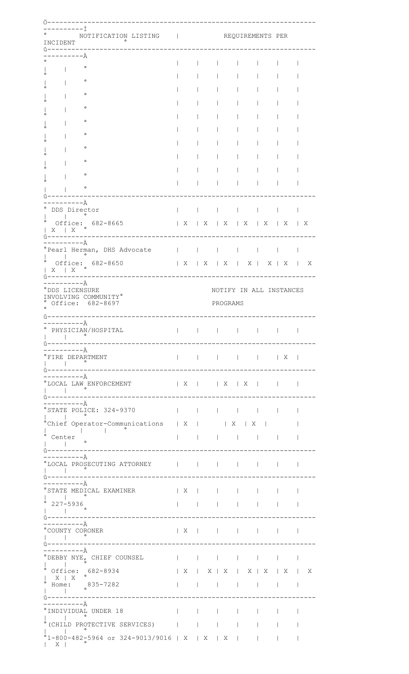| INCIDENT                                                   | NOTIFICATION LISTING   REQUIREMENTS PER                                     |                |              |   |                                                                                                                                                                                                                                                                                                          |                        |                          |                                           |
|------------------------------------------------------------|-----------------------------------------------------------------------------|----------------|--------------|---|----------------------------------------------------------------------------------------------------------------------------------------------------------------------------------------------------------------------------------------------------------------------------------------------------------|------------------------|--------------------------|-------------------------------------------|
|                                                            | ----À                                                                       |                |              |   |                                                                                                                                                                                                                                                                                                          |                        |                          |                                           |
|                                                            | $\circ$                                                                     |                |              |   |                                                                                                                                                                                                                                                                                                          |                        |                          |                                           |
|                                                            |                                                                             |                |              |   |                                                                                                                                                                                                                                                                                                          |                        |                          |                                           |
|                                                            | $\circ$                                                                     |                |              |   |                                                                                                                                                                                                                                                                                                          |                        |                          |                                           |
|                                                            | $\circ$                                                                     |                |              |   |                                                                                                                                                                                                                                                                                                          |                        |                          |                                           |
|                                                            | $\circ$                                                                     |                |              |   |                                                                                                                                                                                                                                                                                                          |                        |                          |                                           |
|                                                            | $\circ$                                                                     |                |              |   |                                                                                                                                                                                                                                                                                                          |                        |                          |                                           |
|                                                            |                                                                             |                |              |   |                                                                                                                                                                                                                                                                                                          |                        |                          |                                           |
|                                                            | $\circ$                                                                     |                |              |   |                                                                                                                                                                                                                                                                                                          |                        |                          |                                           |
|                                                            | $\circ$                                                                     |                |              |   |                                                                                                                                                                                                                                                                                                          |                        |                          |                                           |
|                                                            | $\circ$                                                                     |                |              |   |                                                                                                                                                                                                                                                                                                          |                        |                          |                                           |
|                                                            | ۰                                                                           |                |              |   |                                                                                                                                                                                                                                                                                                          |                        |                          |                                           |
|                                                            |                                                                             |                |              |   |                                                                                                                                                                                                                                                                                                          |                        |                          |                                           |
|                                                            |                                                                             |                |              |   |                                                                                                                                                                                                                                                                                                          |                        |                          |                                           |
| . — — — — — — А̀<br>DDS Director                           |                                                                             |                |              |   |                                                                                                                                                                                                                                                                                                          |                        |                          |                                           |
|                                                            | $\overline{\phantom{a}}$                                                    |                |              |   |                                                                                                                                                                                                                                                                                                          |                        |                          |                                           |
| $X \mid X$                                                 | Office: $682-8665$                                                          |                |              |   |                                                                                                                                                                                                                                                                                                          |                        |                          | $  X   X   X   X   X   X   X   X   X   X$ |
| û-------<br>----------À                                    |                                                                             |                |              |   |                                                                                                                                                                                                                                                                                                          |                        |                          |                                           |
|                                                            | Pearl Herman, DHS Advocate (                                                |                |              |   |                                                                                                                                                                                                                                                                                                          |                        |                          |                                           |
|                                                            | $\overline{\phantom{a}}$                                                    |                |              |   | $  X   X   X   X   X   X   X   X$                                                                                                                                                                                                                                                                        |                        |                          | $\overline{X}$                            |
| $X \mid X$                                                 | Office: $682-8650$                                                          |                |              |   |                                                                                                                                                                                                                                                                                                          |                        |                          |                                           |
| î) — — — — — -<br>----------A                              |                                                                             |                |              |   |                                                                                                                                                                                                                                                                                                          |                        |                          |                                           |
| °DDS LICENSURE                                             |                                                                             |                |              |   | NOTIFY IN ALL INSTANCES                                                                                                                                                                                                                                                                                  |                        |                          |                                           |
|                                                            | INVOLVING COMMUNITY°<br>° Office: 682-8697                                  |                |              |   | PROGRAMS                                                                                                                                                                                                                                                                                                 |                        |                          |                                           |
|                                                            |                                                                             |                |              |   |                                                                                                                                                                                                                                                                                                          |                        |                          |                                           |
| ---------À                                                 |                                                                             |                |              |   |                                                                                                                                                                                                                                                                                                          |                        |                          |                                           |
| $\sim$ 100 $\pm$                                           | PHYSICIAN/HOSPITAL                                                          |                |              |   |                                                                                                                                                                                                                                                                                                          |                        |                          |                                           |
| îi – – – – –                                               |                                                                             |                |              |   |                                                                                                                                                                                                                                                                                                          |                        |                          |                                           |
| -------À<br>PFIRE DEPARTMENT                               |                                                                             |                |              |   |                                                                                                                                                                                                                                                                                                          |                        |                          |                                           |
| û--------                                                  | -------                                                                     |                |              |   |                                                                                                                                                                                                                                                                                                          |                        |                          |                                           |
| . – – – – – – – – À                                        |                                                                             |                |              |   |                                                                                                                                                                                                                                                                                                          |                        |                          |                                           |
|                                                            | °LOCAL LAW ENFORCEMENT<br>                                                  |                |              |   |                                                                                                                                                                                                                                                                                                          |                        |                          |                                           |
| û--------<br>-------A                                      |                                                                             |                |              |   |                                                                                                                                                                                                                                                                                                          |                        |                          |                                           |
| °STATE POLICE: 324-9370                                    |                                                                             |                |              |   |                                                                                                                                                                                                                                                                                                          |                        |                          |                                           |
| $\mathbf{I}$ and $\mathbf{I}$ and $\mathbf{I}$             |                                                                             | $\mathbf{I}$   | $\mathbf{L}$ |   | and the contract of the contract of                                                                                                                                                                                                                                                                      |                        | $\Box$                   |                                           |
|                                                            |                                                                             |                |              |   |                                                                                                                                                                                                                                                                                                          |                        |                          |                                           |
|                                                            | Chief Operator-Communications   X       X   X  <br><b>Contract Contract</b> |                |              |   |                                                                                                                                                                                                                                                                                                          |                        |                          |                                           |
| Center                                                     |                                                                             |                |              |   | $\begin{array}{ccc} \end{array}$ $\begin{array}{ccc} \end{array}$ $\begin{array}{ccc} \end{array}$ $\begin{array}{ccc} \end{array}$ $\begin{array}{ccc} \end{array}$ $\begin{array}{ccc} \end{array}$ $\begin{array}{ccc} \end{array}$ $\begin{array}{ccc} \end{array}$ $\begin{array}{ccc} \end{array}$ |                        |                          |                                           |
| û---------                                                 | ------------                                                                |                |              |   |                                                                                                                                                                                                                                                                                                          |                        |                          |                                           |
| ----------À                                                | °LOCAL PROSECUTING ATTORNEY                                                 |                |              |   |                                                                                                                                                                                                                                                                                                          |                        | $\mathbf{1}$             |                                           |
| <b>Contract Contract</b><br>î-------                       |                                                                             |                |              |   |                                                                                                                                                                                                                                                                                                          |                        |                          |                                           |
| --------À                                                  |                                                                             |                |              |   |                                                                                                                                                                                                                                                                                                          |                        |                          |                                           |
| $\begin{array}{ccc} & & & \circ \ & & & \circ \end{array}$ | °STATE MEDICAL EXAMINER                                                     | $\overline{X}$ | $\mathbf{L}$ |   | $\mathbf{1}$                                                                                                                                                                                                                                                                                             | $\mathbf{L}$           |                          |                                           |
| 227-5936                                                   |                                                                             |                |              |   |                                                                                                                                                                                                                                                                                                          |                        |                          |                                           |
| û-------                                                   |                                                                             |                |              |   |                                                                                                                                                                                                                                                                                                          |                        |                          |                                           |
| --------À<br>°COUNTY CORONER                               |                                                                             |                |              |   |                                                                                                                                                                                                                                                                                                          |                        | $\blacksquare$           |                                           |
| $\sim$ 1                                                   |                                                                             | --------       |              |   |                                                                                                                                                                                                                                                                                                          |                        |                          |                                           |
| ---------À                                                 |                                                                             |                |              |   |                                                                                                                                                                                                                                                                                                          |                        |                          |                                           |
|                                                            | °DEBBY NYE, CHIEF COUNSEL                                                   |                |              |   |                                                                                                                                                                                                                                                                                                          |                        | the contract of the con- |                                           |
|                                                            | $^{\circ}$ Office: 682-8934<br>$\circ$                                      |                |              |   |                                                                                                                                                                                                                                                                                                          |                        |                          | Χ                                         |
| $X \mid X$                                                 |                                                                             |                | $\mathbf{L}$ |   |                                                                                                                                                                                                                                                                                                          | $\mathbf{L}$<br>$\Box$ |                          |                                           |
|                                                            | Home: 835-7282                                                              |                |              |   |                                                                                                                                                                                                                                                                                                          |                        |                          |                                           |
| . – – – – – – À                                            |                                                                             |                |              |   |                                                                                                                                                                                                                                                                                                          |                        |                          |                                           |
|                                                            | INDIVIDUAL UNDER 18<br>$\overline{\phantom{0}}$                             |                |              |   | $\perp$                                                                                                                                                                                                                                                                                                  |                        |                          |                                           |
| $\mathbf{1}$ and $\mathbf{1}$ and $\mathbf{1}$<br>$\circ$  | (CHILD PROTECTIVE SERVICES)                                                 |                |              |   |                                                                                                                                                                                                                                                                                                          |                        |                          |                                           |
|                                                            | °1-800-482-5964 or 324-9013/9016   X                                        |                |              | X | X                                                                                                                                                                                                                                                                                                        |                        |                          |                                           |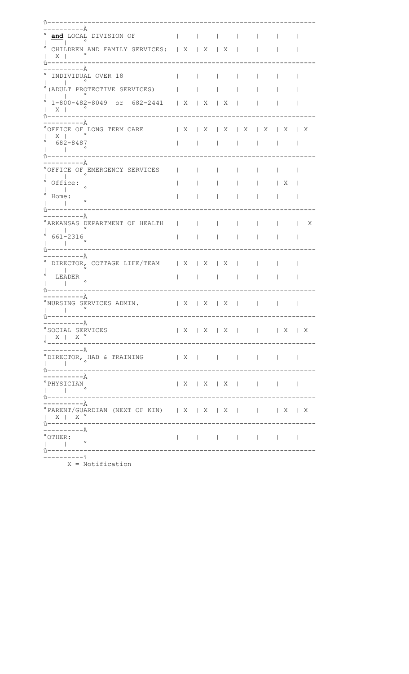| — — — A                                                                          |                           |     |                |                   |   |   |
|----------------------------------------------------------------------------------|---------------------------|-----|----------------|-------------------|---|---|
| and LOCAL DIVISION OF                                                            |                           |     |                |                   |   |   |
| CHILDREN AND FAMILY SERVICES:   X   X   X                                        |                           |     |                |                   |   |   |
| X                                                                                |                           |     |                |                   |   |   |
| $i - - - - - - -$                                                                |                           |     |                |                   |   |   |
| ——————— A                                                                        |                           |     |                |                   |   |   |
| INDIVIDUAL OVER 18                                                               |                           |     |                |                   |   |   |
| (ADULT PROTECTIVE SERVICES)                                                      |                           |     |                |                   |   |   |
|                                                                                  |                           |     |                |                   |   |   |
| 1-800-482-8049 or 682-2441   X   X   X                                           |                           |     |                |                   |   |   |
| $X \mid$                                                                         |                           |     |                |                   |   |   |
| . – – – – – – À                                                                  |                           |     |                |                   |   |   |
| °OFFICE OF LONG TERM CARE                                                        | $\mathbb{R}$ $\mathbb{R}$ | X   | X              | $\mid$ X $\mid$ X | X | Χ |
| $X \parallel$                                                                    |                           |     |                |                   |   |   |
| 682-8487                                                                         |                           |     |                |                   |   |   |
|                                                                                  |                           |     |                |                   |   |   |
| —————— À                                                                         |                           |     |                |                   |   |   |
| OFFICE OF EMERGENCY SERVICES                                                     |                           |     |                |                   |   |   |
|                                                                                  |                           |     |                |                   |   |   |
| Office:<br>$\circ$                                                               |                           |     |                |                   | X |   |
|                                                                                  |                           |     |                |                   |   |   |
| Home:                                                                            |                           |     |                |                   |   |   |
|                                                                                  |                           |     |                |                   |   |   |
| -------A                                                                         |                           |     |                |                   |   |   |
| ARKANSAS DEPARTMENT OF HEALTH                                                    |                           |     |                |                   |   | X |
|                                                                                  |                           |     |                |                   |   |   |
| 661-2316                                                                         |                           |     |                |                   |   |   |
|                                                                                  |                           |     |                |                   |   |   |
| $----\mathbb{A}$                                                                 |                           |     |                |                   |   |   |
| DIRECTOR, COTTAGE LIFE/TEAM   X   X                                              |                           |     | X              |                   |   |   |
|                                                                                  |                           |     |                |                   |   |   |
| LEADER                                                                           |                           |     |                |                   |   |   |
|                                                                                  |                           |     |                |                   |   |   |
| . – – – – A                                                                      |                           |     |                |                   |   |   |
| 'NURSING SERVICES ADMIN.                                                         |                           | X X | $\overline{X}$ |                   |   |   |
|                                                                                  |                           |     |                |                   |   |   |
| ––––––––––À                                                                      |                           |     |                |                   |   |   |
| °SOCIAL SERVICES                                                                 |                           |     |                |                   |   |   |
| $\begin{array}{cccc}   & X &   & X &   \\ \circ & & & & \\ \end{array}$          |                           |     |                |                   |   |   |
| -----------------------------------                                              |                           |     |                |                   |   |   |
|                                                                                  |                           |     |                |                   |   |   |
| °DIRECTOR, HAB & TRAINING   X            <br>$\mathcal{L} \subset \mathcal{L}$ . |                           |     |                |                   |   |   |
| ---------------------------------<br>$\hat{v}$ - - - - - - - - - - -             |                           |     |                |                   |   |   |
| ----------A                                                                      |                           |     |                |                   |   |   |
| $^{\circ}$ PHYSICIAN<br>   <br>$\hat{u}$ -----------                             |                           |     |                |                   |   |   |
| ___________________________________                                              |                           |     |                |                   |   |   |
| --------À                                                                        |                           |     |                |                   |   |   |
| $^{\circ}$ PARENT/GUARDIAN (NEXT OF KIN)   X   X   X         X   X               |                           |     |                |                   |   |   |
| $\begin{array}{cc}   & X   & X  ^{\circ} \\ \hat{u}^{----------} \end{array}$    |                           |     |                |                   |   |   |
| -------À                                                                         |                           |     |                |                   |   |   |
| $^{\circ}$ OTHER:                                                                |                           |     |                |                   |   |   |
| <b>Contract Contract</b>                                                         |                           |     |                |                   |   |   |
|                                                                                  |                           |     |                |                   |   |   |
| -----------ì                                                                     |                           |     |                |                   |   |   |

 $X = \overline{\text{Notification}}$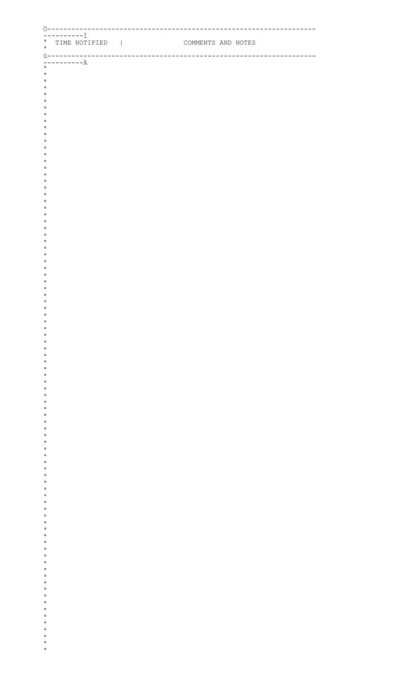| $-------2$<br>° TIME NOTIFIED | COMMENTS AND NOTES |  |
|-------------------------------|--------------------|--|
| $\circ$                       |                    |  |
|                               |                    |  |
| $\circ$                       |                    |  |
| $\circ$<br>$\circ$            |                    |  |
| $\circ$                       |                    |  |
| $\circ$                       |                    |  |
| $\circ$<br>$\circ$            |                    |  |
| $\circ$                       |                    |  |
| $\circ$<br>$\circ$            |                    |  |
| $\circ$                       |                    |  |
| $\circ$                       |                    |  |
| $\circ$<br>$\circ$            |                    |  |
| $\circ$                       |                    |  |
| $\circ$                       |                    |  |
| $\circ$<br>$\circ$            |                    |  |
| $\circ$                       |                    |  |
| $\circ$                       |                    |  |
| $\circ$<br>$\circ$            |                    |  |
| $\circ$                       |                    |  |
| $\circ$                       |                    |  |
| $\circ$<br>$\circ$            |                    |  |
| $\circ$                       |                    |  |
| $\circ$<br>$\circ$            |                    |  |
| $\circ$                       |                    |  |
| $\circ$                       |                    |  |
| $\circ$<br>$\circ$            |                    |  |
| $\circ$                       |                    |  |
| $\circ$<br>$\circ$            |                    |  |
| $\circ$                       |                    |  |
| $\circ$                       |                    |  |
| $\circ$<br>$\circ$            |                    |  |
| $\circ$                       |                    |  |
| $\circ$                       |                    |  |
| $\circ$<br>$\circ$            |                    |  |
| $\circ$                       |                    |  |
| $\circ$                       |                    |  |
| $\circ$<br>$\circ$            |                    |  |
| $\circ$                       |                    |  |
| $\circ$<br>$\circ$            |                    |  |
| $\circ$                       |                    |  |
| $\circ$                       |                    |  |
| $\circ$<br>$\circ$            |                    |  |
| $\circ$                       |                    |  |
| $\circ$                       |                    |  |
| $\circ$<br>$\circ$            |                    |  |
| $\circ$                       |                    |  |
| $\circ$                       |                    |  |
| $\circ$<br>$\circ$            |                    |  |
| $\circ$                       |                    |  |
| $\circ$<br>$\circ$            |                    |  |
| $\circ$                       |                    |  |
| $\circ$                       |                    |  |
| $\circ$<br>$\circ$            |                    |  |
| $\circ$                       |                    |  |
|                               |                    |  |
| $\circ$<br>$\circ$            |                    |  |
| $\circ$                       |                    |  |
| $\circ$                       |                    |  |
| $\circ$                       |                    |  |
| $\circ$<br>$\circ$            |                    |  |
| $\circ$<br>$\circ$            |                    |  |
|                               |                    |  |
|                               |                    |  |
|                               |                    |  |
| $\circ$                       |                    |  |
| $\circ$                       |                    |  |

 $\circ$